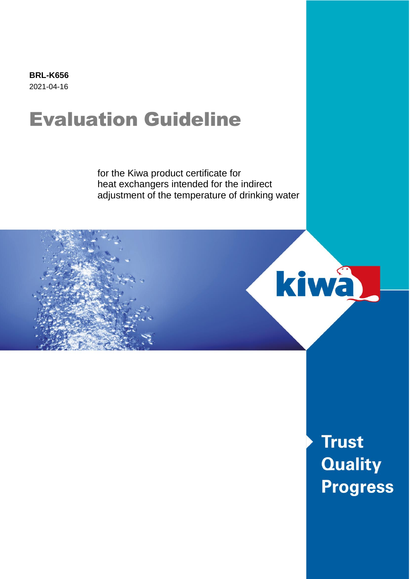**BRL-K656** 2021-04-16

# Evaluation Guideline

for the Kiwa product certificate for heat exchangers intended for the indirect adjustment of the temperature of drinking water



**Trust Quality Progress**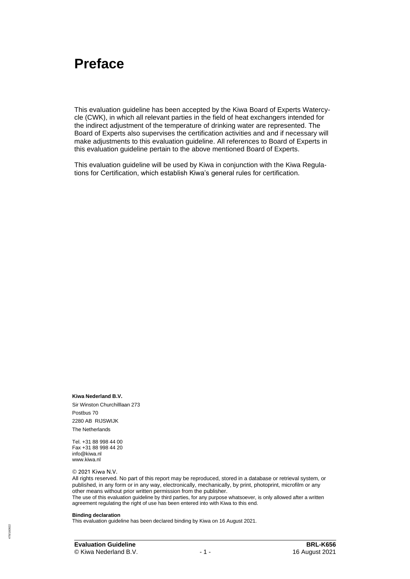## **Preface**

This evaluation guideline has been accepted by the Kiwa Board of Experts Watercycle (CWK), in which all relevant parties in the field of heat exchangers intended for the indirect adjustment of the temperature of drinking water are represented. The Board of Experts also supervises the certification activities and and if necessary will make adjustments to this evaluation guideline. All references to Board of Experts in this evaluation guideline pertain to the above mentioned Board of Experts.

This evaluation guideline will be used by Kiwa in conjunction with the Kiwa Regulations for Certification, which establish Kiwa's general rules for certification.

**Kiwa Nederland B.V.** Sir Winston Churchilllaan 273 Postbus 70 2280 AB RIJSWIJK The Netherlands

Tel. +31 88 998 44 00 Fax +31 88 998 44 20 info@kiwa.nl www.kiwa.nl

© 2021 Kiwa N.V.

All rights reserved. No part of this report may be reproduced, stored in a database or retrieval system, or published, in any form or in any way, electronically, mechanically, by print, photoprint, microfilm or any other means without prior written permission from the publisher. The use of this evaluation guideline by third parties, for any purpose whatsoever, is only allowed after a written

agreement regulating the right of use has been entered into with Kiwa to this end.

#### **Binding declaration**

This evaluation guideline has been declared binding by Kiwa on 16 August 2021.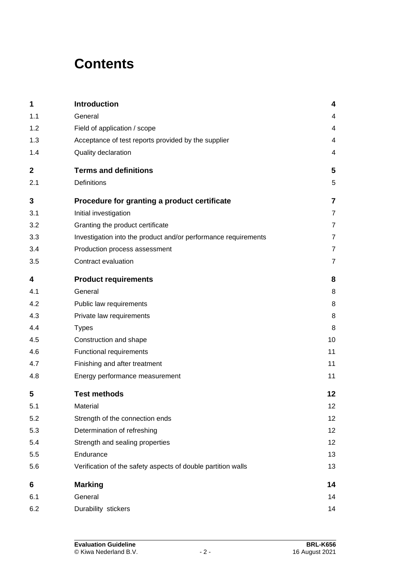# **Contents**

| 1            | Introduction                                                   | 4               |
|--------------|----------------------------------------------------------------|-----------------|
| 1.1          | General                                                        | 4               |
| 1.2          | Field of application / scope                                   | 4               |
| 1.3          | Acceptance of test reports provided by the supplier            | 4               |
| 1.4          | Quality declaration                                            | 4               |
| $\mathbf{2}$ | <b>Terms and definitions</b>                                   | 5               |
| 2.1          | Definitions                                                    | 5               |
| 3            | Procedure for granting a product certificate                   | 7               |
| 3.1          | Initial investigation                                          | $\overline{7}$  |
| 3.2          | Granting the product certificate                               | $\overline{7}$  |
| 3.3          | Investigation into the product and/or performance requirements | $\overline{7}$  |
| 3.4          | Production process assessment                                  | $\overline{7}$  |
| 3.5          | Contract evaluation                                            | $\overline{7}$  |
| 4            | <b>Product requirements</b>                                    | 8               |
| 4.1          | General                                                        | 8               |
| 4.2          | Public law requirements                                        | 8               |
| 4.3          | Private law requirements                                       | 8               |
| 4.4          | <b>Types</b>                                                   | 8               |
| 4.5          | Construction and shape                                         | 10              |
| 4.6          | Functional requirements                                        | 11              |
| 4.7          | Finishing and after treatment                                  | 11              |
| 4.8          | Energy performance measurement                                 | 11              |
| 5            | <b>Test methods</b>                                            | 12              |
| 5.1          | Material                                                       | 12              |
| 5.2          | Strength of the connection ends                                | 12 <sub>2</sub> |
| 5.3          | Determination of refreshing                                    | 12              |
| 5.4          | Strength and sealing properties                                | 12              |
| 5.5          | Endurance                                                      | 13              |
| 5.6          | Verification of the safety aspects of double partition walls   | 13              |
| 6            | <b>Marking</b>                                                 | 14              |
| 6.1          | General                                                        | 14              |
| 6.2          | Durability stickers                                            | 14              |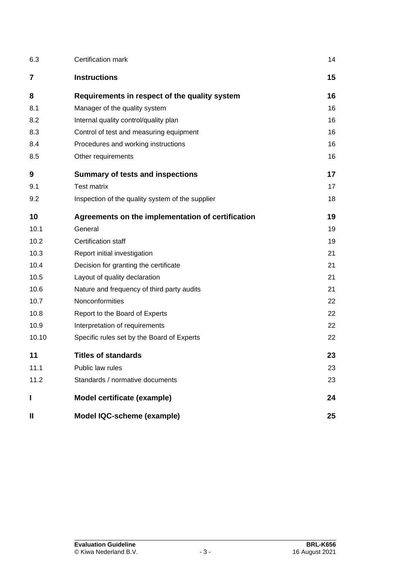| 6.3          | Certification mark                                | 14 |
|--------------|---------------------------------------------------|----|
| 7            | <b>Instructions</b>                               | 15 |
| 8            | Requirements in respect of the quality system     | 16 |
| 8.1          | Manager of the quality system                     | 16 |
| 8.2          | Internal quality control/quality plan             | 16 |
| 8.3          | Control of test and measuring equipment           | 16 |
| 8.4          | Procedures and working instructions               | 16 |
| 8.5          | Other requirements                                | 16 |
| 9            | <b>Summary of tests and inspections</b>           | 17 |
| 9.1          | <b>Test matrix</b>                                | 17 |
| 9.2          | Inspection of the quality system of the supplier  | 18 |
| 10           | Agreements on the implementation of certification | 19 |
| 10.1         | General                                           | 19 |
| 10.2         | Certification staff                               | 19 |
| 10.3         | Report initial investigation                      | 21 |
| 10.4         | Decision for granting the certificate             | 21 |
| 10.5         | Layout of quality declaration                     | 21 |
| 10.6         | Nature and frequency of third party audits        | 21 |
| 10.7         | Nonconformities                                   | 22 |
| 10.8         | Report to the Board of Experts                    | 22 |
| 10.9         | Interpretation of requirements                    | 22 |
| 10.10        | Specific rules set by the Board of Experts        | 22 |
| 11           | <b>Titles of standards</b>                        | 23 |
| 11.1         | Public law rules                                  | 23 |
| 11.2         | Standards / normative documents                   | 23 |
| I            | Model certificate (example)                       | 24 |
| $\mathbf{I}$ | Model IQC-scheme (example)                        | 25 |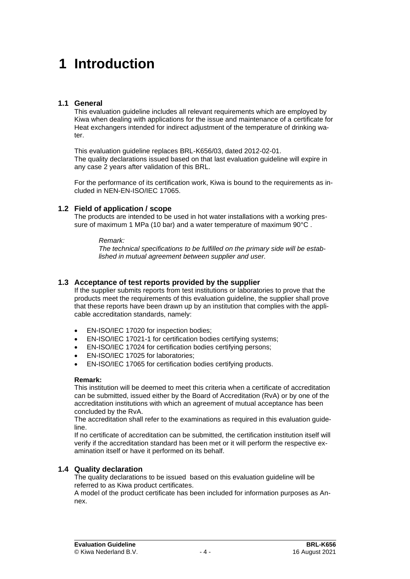# **1 Introduction**

#### **1.1 General**

This evaluation guideline includes all relevant requirements which are employed by Kiwa when dealing with applications for the issue and maintenance of a certificate for Heat exchangers intended for indirect adjustment of the temperature of drinking water.

This evaluation guideline replaces BRL-K656/03, dated 2012-02-01. The quality declarations issued based on that last evaluation guideline will expire in any case 2 years after validation of this BRL.

For the performance of its certification work, Kiwa is bound to the requirements as included in NEN-EN-ISO/IEC 17065.

#### **1.2 Field of application / scope**

The products are intended to be used in hot water installations with a working pressure of maximum 1 MPa (10 bar) and a water temperature of maximum 90°C.

#### *Remark:*

*The technical specifications to be fulfilled on the primary side will be established in mutual agreement between supplier and user.*

#### **1.3 Acceptance of test reports provided by the supplier**

If the supplier submits reports from test institutions or laboratories to prove that the products meet the requirements of this evaluation guideline, the supplier shall prove that these reports have been drawn up by an institution that complies with the applicable accreditation standards, namely:

- EN-ISO/IEC 17020 for inspection bodies;
- EN-ISO/IEC 17021-1 for certification bodies certifying systems;
- EN-ISO/IEC 17024 for certification bodies certifying persons;
- EN-ISO/IEC 17025 for laboratories;
- EN-ISO/IEC 17065 for certification bodies certifying products.

#### **Remark:**

This institution will be deemed to meet this criteria when a certificate of accreditation can be submitted, issued either by the Board of Accreditation (RvA) or by one of the accreditation institutions with which an agreement of mutual acceptance has been concluded by the RvA.

The accreditation shall refer to the examinations as required in this evaluation guideline.

If no certificate of accreditation can be submitted, the certification institution itself will verify if the accreditation standard has been met or it will perform the respective examination itself or have it performed on its behalf.

#### **1.4 Quality declaration**

The quality declarations to be issued based on this evaluation guideline will be referred to as Kiwa product certificates.

A model of the product certificate has been included for information purposes as Annex.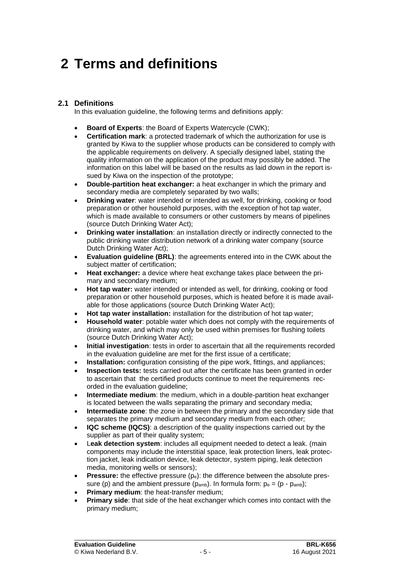# **2 Terms and definitions**

#### **2.1 Definitions**

In this evaluation guideline, the following terms and definitions apply:

- **Board of Experts**: the Board of Experts Watercycle (CWK);
- **Certification mark**: a protected trademark of which the authorization for use is granted by Kiwa to the supplier whose products can be considered to comply with the applicable requirements on delivery. A specially designed label, stating the quality information on the application of the product may possibly be added. The information on this label will be based on the results as laid down in the report issued by Kiwa on the inspection of the prototype;
- **Double-partition heat exchanger:** a heat exchanger in which the primary and secondary media are completely separated by two walls;
- **Drinking water**: water intended or intended as well, for drinking, cooking or food preparation or other household purposes, with the exception of hot tap water, which is made available to consumers or other customers by means of pipelines (source Dutch Drinking Water Act);
- **Drinking water installation:** an installation directly or indirectly connected to the public drinking water distribution network of a drinking water company (source Dutch Drinking Water Act);
- **Evaluation guideline (BRL)**: the agreements entered into in the CWK about the subject matter of certification;
- **Heat exchanger:** a device where heat exchange takes place between the primary and secondary medium;
- **Hot tap water:** water intended or intended as well, for drinking, cooking or food preparation or other household purposes, which is heated before it is made available for those applications (source Dutch Drinking Water Act);
- **Hot tap water installation:** installation for the distribution of hot tap water;
- **Household water**: potable water which does not comply with the requirements of drinking water, and which may only be used within premises for flushing toilets (source Dutch Drinking Water Act);
- **Initial investigation**: tests in order to ascertain that all the requirements recorded in the evaluation guideline are met for the first issue of a certificate;
- **Installation:** configuration consisting of the pipe work, fittings, and appliances;
- **Inspection tests:** tests carried out after the certificate has been granted in order to ascertain that the certified products continue to meet the requirements recorded in the evaluation guideline;
- **Intermediate medium**: the medium, which in a double-partition heat exchanger is located between the walls separating the primary and secondary media;
- **Intermediate zone**: the zone in between the primary and the secondary side that separates the primary medium and secondary medium from each other;
- **IQC scheme (IQCS)**: a description of the quality inspections carried out by the supplier as part of their quality system;
- L**eak detection system**: includes all equipment needed to detect a leak. (main components may include the interstitial space, leak protection liners, leak protection jacket, leak indication device, leak detector, system piping, leak detection media, monitoring wells or sensors);
- **Pressure:** the effective pressure (pe): the difference between the absolute pressure (p) and the ambient pressure ( $p_{amb}$ ). In formula form:  $p_e = (p - p_{amb})$ ;
- **Primary medium:** the heat-transfer medium;
- **Primary side:** that side of the heat exchanger which comes into contact with the primary medium;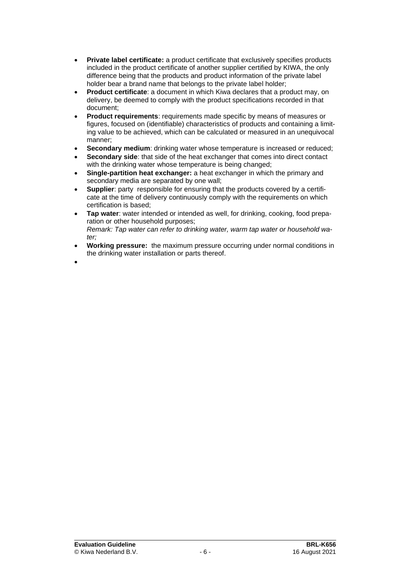- **Private label certificate:** a product certificate that exclusively specifies products included in the product certificate of another supplier certified by KIWA, the only difference being that the products and product information of the private label holder bear a brand name that belongs to the private label holder;
- **Product certificate**: a document in which Kiwa declares that a product may, on delivery, be deemed to comply with the product specifications recorded in that document;
- **Product requirements**: requirements made specific by means of measures or figures, focused on (identifiable) characteristics of products and containing a limiting value to be achieved, which can be calculated or measured in an unequivocal manner;
- **Secondary medium:** drinking water whose temperature is increased or reduced:
- **Secondary side:** that side of the heat exchanger that comes into direct contact with the drinking water whose temperature is being changed;
- **Single-partition heat exchanger:** a heat exchanger in which the primary and secondary media are separated by one wall;
- **Supplier**: party responsible for ensuring that the products covered by a certificate at the time of delivery continuously comply with the requirements on which certification is based;
- **Tap water**: water intended or intended as well, for drinking, cooking, food preparation or other household purposes; *Remark: Tap water can refer to drinking water, warm tap water or household water;*
- **Working pressure:** the maximum pressure occurring under normal conditions in the drinking water installation or parts thereof.
- •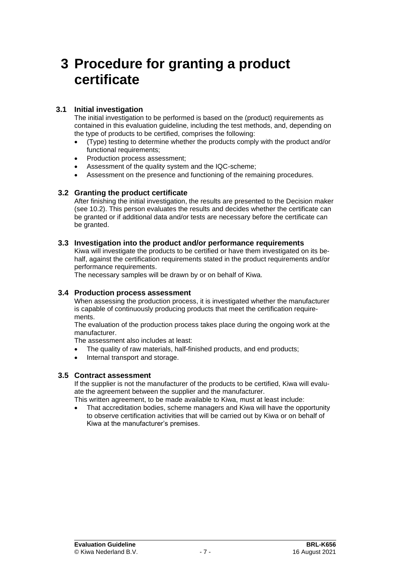## **3 Procedure for granting a product certificate**

#### **3.1 Initial investigation**

The initial investigation to be performed is based on the (product) requirements as contained in this evaluation guideline, including the test methods, and, depending on the type of products to be certified, comprises the following:

- (Type) testing to determine whether the products comply with the product and/or functional requirements;
- Production process assessment;
- Assessment of the quality system and the IQC-scheme;
- Assessment on the presence and functioning of the remaining procedures.

#### **3.2 Granting the product certificate**

After finishing the initial investigation, the results are presented to the Decision maker (see 10.2). This person evaluates the results and decides whether the certificate can be granted or if additional data and/or tests are necessary before the certificate can be granted.

#### **3.3 Investigation into the product and/or performance requirements**

Kiwa will investigate the products to be certified or have them investigated on its behalf, against the certification requirements stated in the product requirements and/or performance requirements.

The necessary samples will be drawn by or on behalf of Kiwa.

#### **3.4 Production process assessment**

When assessing the production process, it is investigated whether the manufacturer is capable of continuously producing products that meet the certification requirements.

The evaluation of the production process takes place during the ongoing work at the manufacturer.

The assessment also includes at least:

- The quality of raw materials, half-finished products, and end products;
- Internal transport and storage.

#### **3.5 Contract assessment**

If the supplier is not the manufacturer of the products to be certified, Kiwa will evaluate the agreement between the supplier and the manufacturer.

This written agreement, to be made available to Kiwa, must at least include:

• That accreditation bodies, scheme managers and Kiwa will have the opportunity to observe certification activities that will be carried out by Kiwa or on behalf of Kiwa at the manufacturer's premises.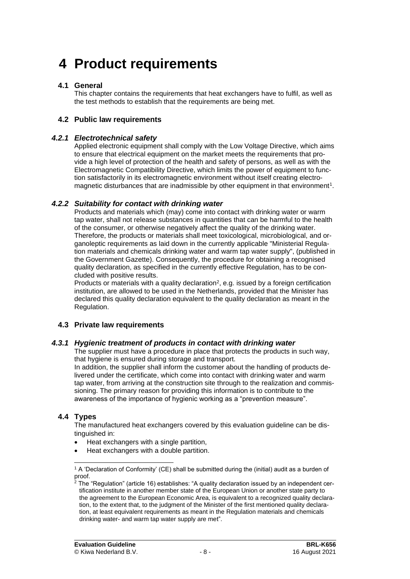# **4 Product requirements**

#### **4.1 General**

This chapter contains the requirements that heat exchangers have to fulfil, as well as the test methods to establish that the requirements are being met.

#### **4.2 Public law requirements**

#### *4.2.1 Electrotechnical safety*

Applied electronic equipment shall comply with the Low Voltage Directive, which aims to ensure that electrical equipment on the market meets the requirements that provide a high level of protection of the health and safety of persons, as well as with the Electromagnetic Compatibility Directive, which limits the power of equipment to function satisfactorily in its electromagnetic environment without itself creating electromagnetic disturbances that are inadmissible by other equipment in that environment<sup>1</sup>.

#### *4.2.2 Suitability for contact with drinking water*

Products and materials which (may) come into contact with drinking water or warm tap water, shall not release substances in quantities that can be harmful to the health of the consumer, or otherwise negatively affect the quality of the drinking water. Therefore, the products or materials shall meet toxicological, microbiological, and organoleptic requirements as laid down in the currently applicable "Ministerial Regulation materials and chemicals drinking water and warm tap water supply", (published in the Government Gazette). Consequently, the procedure for obtaining a recognised quality declaration, as specified in the currently effective Regulation, has to be concluded with positive results.

Products or materials with a quality declaration<sup>2</sup>, e.g. issued by a foreign certification institution, are allowed to be used in the Netherlands, provided that the Minister has declared this quality declaration equivalent to the quality declaration as meant in the Regulation.

#### **4.3 Private law requirements**

#### *4.3.1 Hygienic treatment of products in contact with drinking water*

The supplier must have a procedure in place that protects the products in such way, that hygiene is ensured during storage and transport.

In addition, the supplier shall inform the customer about the handling of products delivered under the certificate, which come into contact with drinking water and warm tap water, from arriving at the construction site through to the realization and commissioning. The primary reason for providing this information is to contribute to the awareness of the importance of hygienic working as a "prevention measure".

#### **4.4 Types**

The manufactured heat exchangers covered by this evaluation guideline can be distinguished in:

- Heat exchangers with a single partition,
- Heat exchangers with a double partition.

<sup>&</sup>lt;sup>1</sup> A 'Declaration of Conformity' (CE) shall be submitted during the (initial) audit as a burden of proof.

<sup>2</sup> The "Regulation" (article 16) establishes: "A quality declaration issued by an independent certification institute in another member state of the European Union or another state party to the agreement to the European Economic Area, is equivalent to a recognized quality declaration, to the extent that, to the judgment of the Minister of the first mentioned quality declaration, at least equivalent requirements as meant in the Regulation materials and chemicals drinking water- and warm tap water supply are met".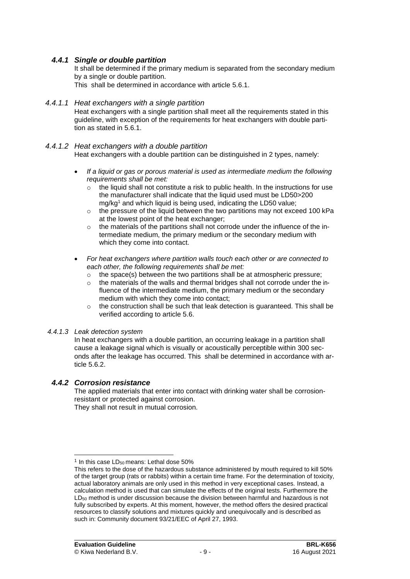#### *4.4.1 Single or double partition*

It shall be determined if the primary medium is separated from the secondary medium by a single or double partition.

This shall be determined in accordance with article [5.6.1.](#page-13-0)

#### *4.4.1.1 Heat exchangers with a single partition*

Heat exchangers with a single partition shall meet all the requirements stated in this guideline, with exception of the requirements for heat exchangers with double partition as stated in [5.6.1.](#page-13-0)

*4.4.1.2 Heat exchangers with a double partition* 

Heat exchangers with a double partition can be distinguished in 2 types, namely:

- *If a liquid or gas or porous material is used as intermediate medium the following requirements shall be met:* 
	- $\circ$  the liquid shall not constitute a risk to public health. In the instructions for use the manufacturer shall indicate that the liquid used must be LD50>200 mg/kg<sup>1</sup> and which liquid is being used, indicating the LD50 value;
	- o the pressure of the liquid between the two partitions may not exceed 100 kPa at the lowest point of the heat exchanger;
	- o the materials of the partitions shall not corrode under the influence of the intermediate medium, the primary medium or the secondary medium with which they come into contact.
- *For heat exchangers where partition walls touch each other or are connected to each other, the following requirements shall be met:*
	- $\circ$  the space(s) between the two partitions shall be at atmospheric pressure;
	- o the materials of the walls and thermal bridges shall not corrode under the influence of the intermediate medium, the primary medium or the secondary medium with which they come into contact;
	- $\circ$  the construction shall be such that leak detection is guaranteed. This shall be verified according to article 5.6.

#### *4.4.1.3 Leak detection system*

In heat exchangers with a double partition, an occurring leakage in a partition shall cause a leakage signal which is visually or acoustically perceptible within 300 seconds after the leakage has occurred. This shall be determined in accordance with article 5.6.2.

#### *4.4.2 Corrosion resistance*

The applied materials that enter into contact with drinking water shall be corrosionresistant or protected against corrosion.

They shall not result in mutual corrosion.

 $1$  In this case LD<sub>50</sub> means: Lethal dose 50%

This refers to the dose of the hazardous substance administered by mouth required to kill 50% of the target group (rats or rabbits) within a certain time frame. For the determination of toxicity, actual laboratory animals are only used in this method in very exceptional cases. Instead, a calculation method is used that can simulate the effects of the original tests. Furthermore the  $LD<sub>50</sub>$  method is under discussion because the division between harmful and hazardous is not fully subscribed by experts. At this moment, however, the method offers the desired practical resources to classify solutions and mixtures quickly and unequivocally and is described as such in: Community document 93/21/EEC of April 27, 1993.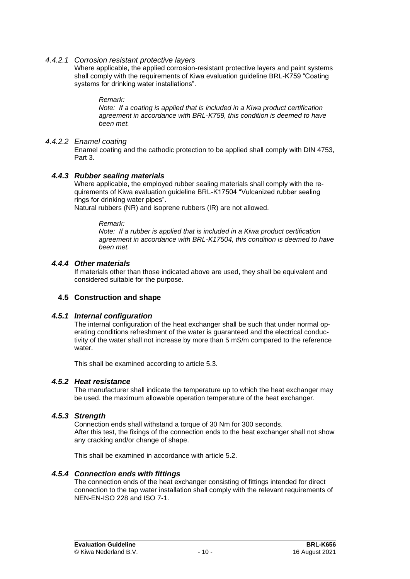#### *4.4.2.1 Corrosion resistant protective layers*

Where applicable, the applied corrosion-resistant protective layers and paint systems shall comply with the requirements of Kiwa evaluation guideline BRL-K759 "Coating systems for drinking water installations".

#### *Remark:*

*Note: If a coating is applied that is included in a Kiwa product certification agreement in accordance with BRL-K759, this condition is deemed to have been met.* 

#### *4.4.2.2 Enamel coating*

Enamel coating and the cathodic protection to be applied shall comply with DIN 4753, Part 3.

#### *4.4.3 Rubber sealing materials*

Where applicable, the employed rubber sealing materials shall comply with the requirements of Kiwa evaluation guideline BRL-K17504 "Vulcanized rubber sealing rings for drinking water pipes".

Natural rubbers (NR) and isoprene rubbers (IR) are not allowed.

#### *Remark:*

*Note: If a rubber is applied that is included in a Kiwa product certification agreement in accordance with BRL-K17504, this condition is deemed to have been met.* 

#### *4.4.4 Other materials*

If materials other than those indicated above are used, they shall be equivalent and considered suitable for the purpose.

#### <span id="page-10-0"></span>**4.5 Construction and shape**

#### *4.5.1 Internal configuration*

The internal configuration of the heat exchanger shall be such that under normal operating conditions refreshment of the water is guaranteed and the electrical conductivity of the water shall not increase by more than 5 mS/m compared to the reference water.

<span id="page-10-1"></span>This shall be examined according to article 5.3.

#### *4.5.2 Heat resistance*

<span id="page-10-2"></span>The manufacturer shall indicate the temperature up to which the heat exchanger may be used. the maximum allowable operation temperature of the heat exchanger.

#### *4.5.3 Strength*

Connection ends shall withstand a torque of 30 Nm for 300 seconds. After this test, the fixings of the connection ends to the heat exchanger shall not show any cracking and/or change of shape.

<span id="page-10-3"></span>This shall be examined in accordance with article 5.2.

#### *4.5.4 Connection ends with fittings*

The connection ends of the heat exchanger consisting of fittings intended for direct connection to the tap water installation shall comply with the relevant requirements of NEN-EN-ISO 228 and ISO 7-1.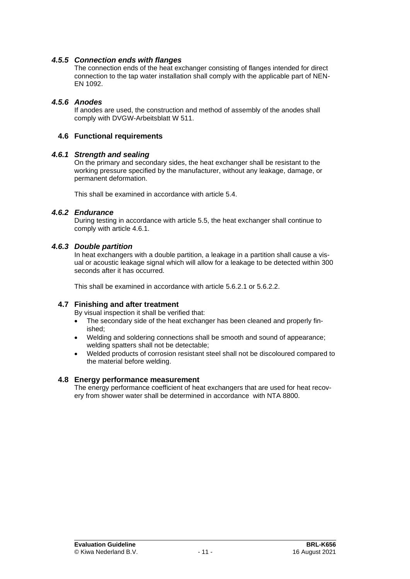#### *4.5.5 Connection ends with flanges*

<span id="page-11-0"></span>The connection ends of the heat exchanger consisting of flanges intended for direct connection to the tap water installation shall comply with the applicable part of NEN-EN 1092.

#### *4.5.6 Anodes*

<span id="page-11-2"></span><span id="page-11-1"></span>If anodes are used, the construction and method of assembly of the anodes shall comply with DVGW-Arbeitsblatt W 511.

#### <span id="page-11-3"></span>**4.6 Functional requirements**

#### *4.6.1 Strength and sealing*

On the primary and secondary sides, the heat exchanger shall be resistant to the working pressure specified by the manufacturer, without any leakage, damage, or permanent deformation.

This shall be examined in accordance with article 5.4.

#### *4.6.2 Endurance*

<span id="page-11-4"></span>During testing in accordance with article 5.5, the heat exchanger shall continue to comply with article 4.6.1.

#### *4.6.3 Double partition*

In heat exchangers with a double partition, a leakage in a partition shall cause a visual or acoustic leakage signal which will allow for a leakage to be detected within 300 seconds after it has occurred.

<span id="page-11-5"></span>This shall be examined in accordance with article [5.6.2.1](#page-13-1) or 5.6.2.2.

#### **4.7 Finishing and after treatment**

By visual inspection it shall be verified that:

- The secondary side of the heat exchanger has been cleaned and properly finished;
- Welding and soldering connections shall be smooth and sound of appearance; welding spatters shall not be detectable;
- <span id="page-11-6"></span>• Welded products of corrosion resistant steel shall not be discoloured compared to the material before welding.

#### **4.8 Energy performance measurement**

The energy performance coefficient of heat exchangers that are used for heat recovery from shower water shall be determined in accordance with NTA 8800.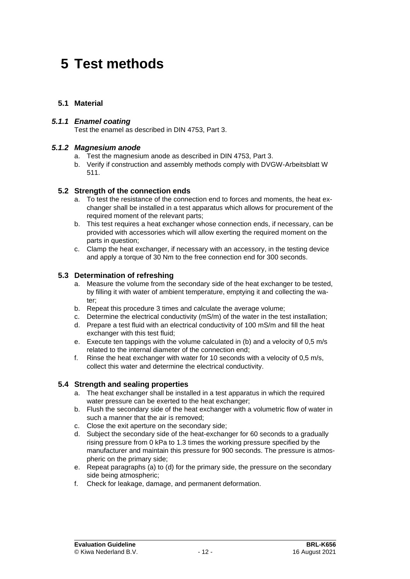# **5 Test methods**

#### **5.1 Material**

#### *5.1.1 Enamel coating*

Test the enamel as described in DIN 4753, Part 3.

#### *5.1.2 Magnesium anode*

- a. Test the magnesium anode as described in DIN 4753, Part 3.
- b. Verify if construction and assembly methods comply with DVGW-Arbeitsblatt W 511.

#### **5.2 Strength of the connection ends**

- a. To test the resistance of the connection end to forces and moments, the heat exchanger shall be installed in a test apparatus which allows for procurement of the required moment of the relevant parts;
- b. This test requires a heat exchanger whose connection ends, if necessary, can be provided with accessories which will allow exerting the required moment on the parts in question;
- c. Clamp the heat exchanger, if necessary with an accessory, in the testing device and apply a torque of 30 Nm to the free connection end for 300 seconds.

#### **5.3 Determination of refreshing**

- a. Measure the volume from the secondary side of the heat exchanger to be tested, by filling it with water of ambient temperature, emptying it and collecting the water:
- b. Repeat this procedure 3 times and calculate the average volume;
- c. Determine the electrical conductivity (mS/m) of the water in the test installation;
- d. Prepare a test fluid with an electrical conductivity of 100 mS/m and fill the heat exchanger with this test fluid;
- e. Execute ten tappings with the volume calculated in (b) and a velocity of 0,5 m/s related to the internal diameter of the connection end;
- f. Rinse the heat exchanger with water for 10 seconds with a velocity of 0,5 m/s, collect this water and determine the electrical conductivity.

#### **5.4 Strength and sealing properties**

- a. The heat exchanger shall be installed in a test apparatus in which the required water pressure can be exerted to the heat exchanger;
- b. Flush the secondary side of the heat exchanger with a volumetric flow of water in such a manner that the air is removed;
- c. Close the exit aperture on the secondary side;
- d. Subject the secondary side of the heat-exchanger for 60 seconds to a gradually rising pressure from 0 kPa to 1.3 times the working pressure specified by the manufacturer and maintain this pressure for 900 seconds. The pressure is atmospheric on the primary side;
- e. Repeat paragraphs (a) to (d) for the primary side, the pressure on the secondary side being atmospheric;
- f. Check for leakage, damage, and permanent deformation.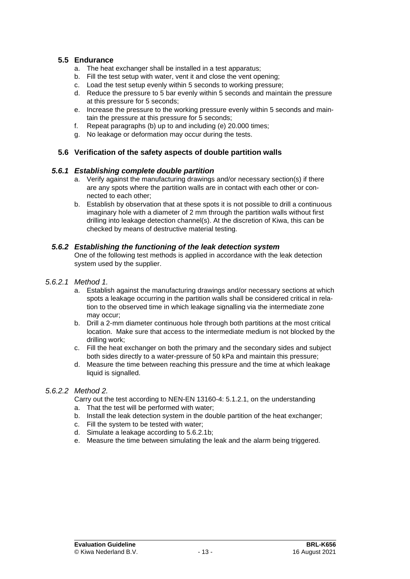#### **5.5 Endurance**

- a. The heat exchanger shall be installed in a test apparatus;
- b. Fill the test setup with water, vent it and close the vent opening;
- c. Load the test setup evenly within 5 seconds to working pressure;
- d. Reduce the pressure to 5 bar evenly within 5 seconds and maintain the pressure at this pressure for 5 seconds;
- e. Increase the pressure to the working pressure evenly within 5 seconds and maintain the pressure at this pressure for 5 seconds;
- f. Repeat paragraphs (b) up to and including (e) 20.000 times;
- g. No leakage or deformation may occur during the tests.

#### <span id="page-13-0"></span>**5.6 Verification of the safety aspects of double partition walls**

#### *5.6.1 Establishing complete double partition*

- a. Verify against the manufacturing drawings and/or necessary section(s) if there are any spots where the partition walls are in contact with each other or connected to each other;
- b. Establish by observation that at these spots it is not possible to drill a continuous imaginary hole with a diameter of 2 mm through the partition walls without first drilling into leakage detection channel(s). At the discretion of Kiwa, this can be checked by means of destructive material testing.

#### *5.6.2 Establishing the functioning of the leak detection system*

<span id="page-13-1"></span>One of the following test methods is applied in accordance with the leak detection system used by the supplier.

#### *5.6.2.1 Method 1.*

- a. Establish against the manufacturing drawings and/or necessary sections at which spots a leakage occurring in the partition walls shall be considered critical in relation to the observed time in which leakage signalling via the intermediate zone may occur;
- b. Drill a 2-mm diameter continuous hole through both partitions at the most critical location. Make sure that access to the intermediate medium is not blocked by the drilling work;
- c. Fill the heat exchanger on both the primary and the secondary sides and subject both sides directly to a water-pressure of 50 kPa and maintain this pressure;
- d. Measure the time between reaching this pressure and the time at which leakage liquid is signalled.

#### *5.6.2.2 Method 2.*

Carry out the test according to NEN-EN 13160-4: 5.1.2.1, on the understanding

- a. That the test will be performed with water;
- b. Install the leak detection system in the double partition of the heat exchanger;
- c. Fill the system to be tested with water;
- d. Simulate a leakage according to 5.6.2.1b;
- e. Measure the time between simulating the leak and the alarm being triggered.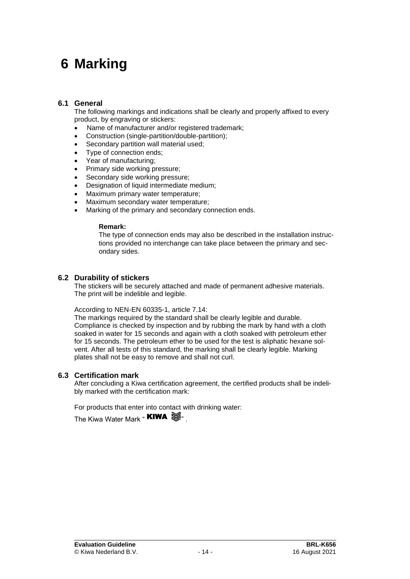# **6 Marking**

#### **6.1 General**

The following markings and indications shall be clearly and properly affixed to every product, by engraving or stickers:

- Name of manufacturer and/or registered trademark;
- Construction (single-partition/double-partition);
- Secondary partition wall material used;
- Type of connection ends:
- Year of manufacturing:
- Primary side working pressure;
- Secondary side working pressure;
- Designation of liquid intermediate medium;
- Maximum primary water temperature:
- Maximum secondary water temperature:
- Marking of the primary and secondary connection ends.

#### **Remark:**

The type of connection ends may also be described in the installation instructions provided no interchange can take place between the primary and secondary sides.

#### **6.2 Durability of stickers**

The stickers will be securely attached and made of permanent adhesive materials. The print will be indelible and legible.

According to NEN-EN 60335-1, article 7.14:

The markings required by the standard shall be clearly legible and durable. Compliance is checked by inspection and by rubbing the mark by hand with a cloth soaked in water for 15 seconds and again with a cloth soaked with petroleum ether for 15 seconds. The petroleum ether to be used for the test is aliphatic hexane solvent. After all tests of this standard, the marking shall be clearly legible. Marking plates shall not be easy to remove and shall not curl.

#### <span id="page-14-0"></span>**6.3 Certification mark**

After concluding a Kiwa certification agreement, the certified products shall be indelibly marked with the certification mark:

For products that enter into contact with drinking water:

The Kiwa Water Mark " **KIWA**  $\mathbb{S}$ .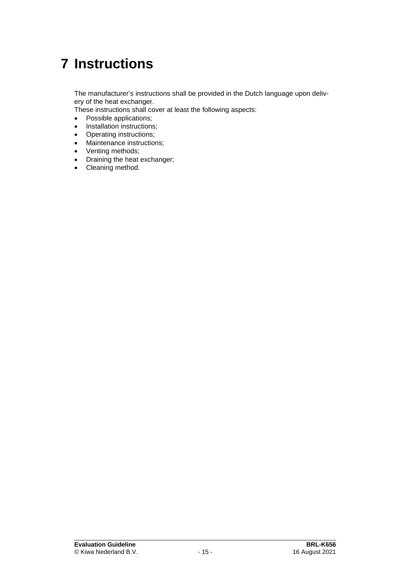# <span id="page-15-0"></span>**7 Instructions**

The manufacturer's instructions shall be provided in the Dutch language upon delivery of the heat exchanger.

These instructions shall cover at least the following aspects:

- Possible applications;
- Installation instructions;
- Operating instructions;
- Maintenance instructions;
- Venting methods;
- Draining the heat exchanger;
- Cleaning method.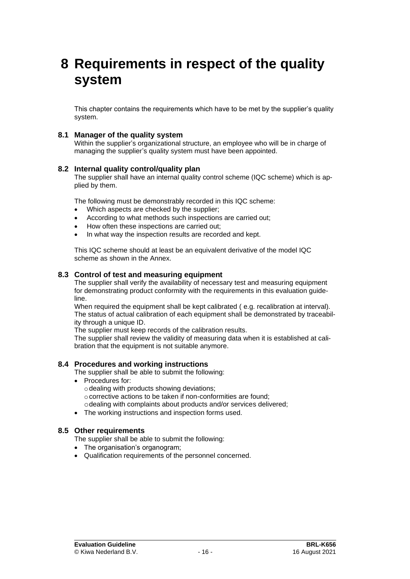## **8 Requirements in respect of the quality system**

This chapter contains the requirements which have to be met by the supplier's quality system.

#### **8.1 Manager of the quality system**

Within the supplier's organizational structure, an employee who will be in charge of managing the supplier's quality system must have been appointed.

#### **8.2 Internal quality control/quality plan**

The supplier shall have an internal quality control scheme (IQC scheme) which is applied by them.

The following must be demonstrably recorded in this IQC scheme:

- Which aspects are checked by the supplier;
- According to what methods such inspections are carried out;
- How often these inspections are carried out;
- In what way the inspection results are recorded and kept.

This IQC scheme should at least be an equivalent derivative of the model IQC scheme as shown in the Annex.

#### **8.3 Control of test and measuring equipment**

The supplier shall verify the availability of necessary test and measuring equipment for demonstrating product conformity with the requirements in this evaluation guideline.

When required the equipment shall be kept calibrated (e.g. recalibration at interval). The status of actual calibration of each equipment shall be demonstrated by traceability through a unique ID.

The supplier must keep records of the calibration results.

The supplier shall review the validity of measuring data when it is established at calibration that the equipment is not suitable anymore.

#### **8.4 Procedures and working instructions**

The supplier shall be able to submit the following:

- Procedures for:
	- $\circ$  dealing with products showing deviations;
	- o corrective actions to be taken if non-conformities are found;
	- odealing with complaints about products and/or services delivered;
- The working instructions and inspection forms used.

#### **8.5 Other requirements**

The supplier shall be able to submit the following:

- The organisation's organogram;
- Qualification requirements of the personnel concerned.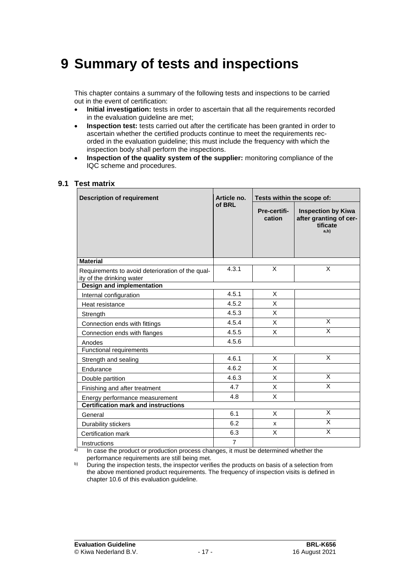## **9 Summary of tests and inspections**

This chapter contains a summary of the following tests and inspections to be carried out in the event of certification:

- **Initial investigation:** tests in order to ascertain that all the requirements recorded in the evaluation quideline are met:
- **Inspection test:** tests carried out after the certificate has been granted in order to ascertain whether the certified products continue to meet the requirements recorded in the evaluation guideline; this must include the frequency with which the inspection body shall perform the inspections.
- **Inspection of the quality system of the supplier:** monitoring compliance of the IQC scheme and procedures.

#### **9.1 Test matrix**

| <b>Description of requirement</b>                                             | Article no.    | Tests within the scope of: |                                                                         |  |
|-------------------------------------------------------------------------------|----------------|----------------------------|-------------------------------------------------------------------------|--|
|                                                                               | of BRL         | Pre-certifi-<br>cation     | <b>Inspection by Kiwa</b><br>after granting of cer-<br>tificate<br>a,b) |  |
| <b>Material</b>                                                               |                |                            |                                                                         |  |
| Requirements to avoid deterioration of the qual-<br>ity of the drinking water | 4.3.1          | X                          | X                                                                       |  |
| <b>Design and implementation</b>                                              |                |                            |                                                                         |  |
| Internal configuration                                                        | 4.5.1          | X                          |                                                                         |  |
| Heat resistance                                                               | 4.5.2          | X                          |                                                                         |  |
| Strength                                                                      | 4.5.3          | X                          |                                                                         |  |
| Connection ends with fittings                                                 | 4.5.4          | X                          | X                                                                       |  |
| Connection ends with flanges                                                  | 4.5.5          | X                          | X                                                                       |  |
| Anodes                                                                        | 4.5.6          |                            |                                                                         |  |
| Functional requirements                                                       |                |                            |                                                                         |  |
| Strength and sealing                                                          | 4.6.1          | X                          | X                                                                       |  |
| Endurance                                                                     | 4.6.2          | X                          |                                                                         |  |
| Double partition                                                              | 4.6.3          | X                          | X                                                                       |  |
| Finishing and after treatment                                                 | 4.7            | X                          | X                                                                       |  |
| Energy performance measurement                                                | 4.8            | X                          |                                                                         |  |
| <b>Certification mark and instructions</b>                                    |                |                            |                                                                         |  |
| General                                                                       | 6.1            | X                          | X                                                                       |  |
| Durability stickers                                                           | 6.2            | x                          | X                                                                       |  |
| Certification mark                                                            | 6.3            | X                          | X                                                                       |  |
| Instructions                                                                  | $\overline{7}$ |                            |                                                                         |  |

a) In case the product or production process changes, it must be determined whether the performance requirements are still being met.

b) During the inspection tests, the inspector verifies the products on basis of a selection from the above mentioned product requirements. The frequency of inspection visits is defined in chapte[r 10.6](#page-21-0) of this evaluation guideline.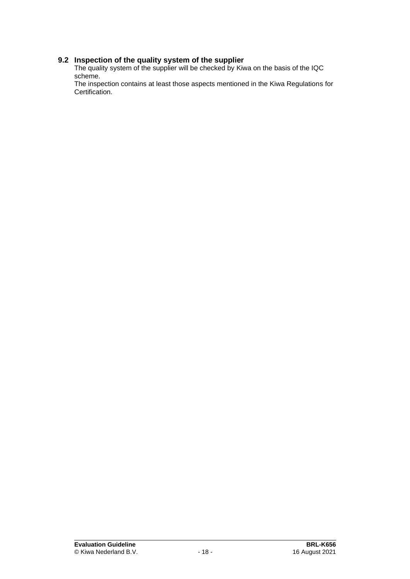#### **9.2 Inspection of the quality system of the supplier**

The quality system of the supplier will be checked by Kiwa on the basis of the IQC scheme.

The inspection contains at least those aspects mentioned in the Kiwa Regulations for Certification.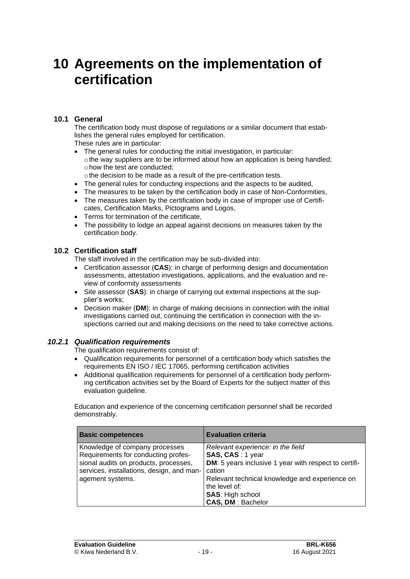## **10 Agreements on the implementation of certification**

#### **10.1 General**

The certification body must dispose of regulations or a similar document that establishes the general rules employed for certification.

These rules are in particular:

- The general rules for conducting the initial investigation, in particular: othe way suppliers are to be informed about how an application is being handled; o how the test are conducted:
	- othe decision to be made as a result of the pre-certification tests.
- The general rules for conducting inspections and the aspects to be audited,
- The measures to be taken by the certification body in case of Non-Conformities,
- The measures taken by the certification body in case of improper use of Certificates, Certification Marks, Pictograms and Logos,
- Terms for termination of the certificate,
- The possibility to lodge an appeal against decisions on measures taken by the certification body.

#### **10.2 Certification staff**

The staff involved in the certification may be sub-divided into:

- Certification assessor (**CAS**): in charge of performing design and documentation assessments, attestation investigations, applications, and the evaluation and review of conformity assessments
- Site assessor (SAS): in charge of carrying out external inspections at the supplier's works;
- Decision maker (**DM**): in charge of making decisions in connection with the initial investigations carried out, continuing the certification in connection with the inspections carried out and making decisions on the need to take corrective actions.

#### *10.2.1 Qualification requirements*

The qualification requirements consist of:

- Qualification requirements for personnel of a certification body which satisfies the requirements EN ISO / IEC 17065, performing certification activities
- Additional qualification requirements for personnel of a certification body performing certification activities set by the Board of Experts for the subject matter of this evaluation guideline.

Education and experience of the concerning certification personnel shall be recorded demonstrably.

| <b>Basic competences</b>                                              | <b>Evaluation criteria</b>                                      |
|-----------------------------------------------------------------------|-----------------------------------------------------------------|
| Knowledge of company processes<br>Requirements for conducting profes- | Relevant experience: in the field<br>SAS, CAS: 1 year           |
| sional audits on products, processes,                                 | <b>DM:</b> 5 years inclusive 1 year with respect to certifi-    |
| services, installations, design, and man-                             | cation                                                          |
| agement systems.                                                      | Relevant technical knowledge and experience on<br>the level of: |
|                                                                       | <b>SAS: High school</b>                                         |
|                                                                       | <b>CAS, DM: Bachelor</b>                                        |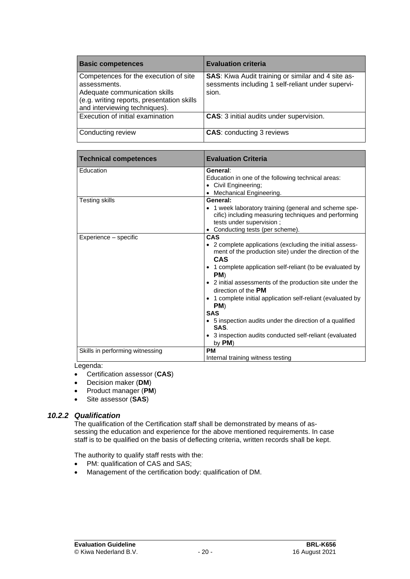| <b>Basic competences</b>                                                                                                                                              | <b>Evaluation criteria</b>                                                                                              |
|-----------------------------------------------------------------------------------------------------------------------------------------------------------------------|-------------------------------------------------------------------------------------------------------------------------|
| Competences for the execution of site<br>assessments.<br>Adequate communication skills<br>(e.g. writing reports, presentation skills<br>and interviewing techniques). | <b>SAS:</b> Kiwa Audit training or similar and 4 site as-<br>sessments including 1 self-reliant under supervi-<br>sion. |
| Execution of initial examination                                                                                                                                      | <b>CAS:</b> 3 initial audits under supervision.                                                                         |
| Conducting review                                                                                                                                                     | <b>CAS: conducting 3 reviews</b>                                                                                        |

| <b>Technical competences</b>                     | <b>Evaluation Criteria</b>                                                                                                                                                                                                                                                                                                                                                                                                                                                                                                 |
|--------------------------------------------------|----------------------------------------------------------------------------------------------------------------------------------------------------------------------------------------------------------------------------------------------------------------------------------------------------------------------------------------------------------------------------------------------------------------------------------------------------------------------------------------------------------------------------|
| Education                                        | General:<br>Education in one of the following technical areas:<br>• Civil Engineering;<br>• Mechanical Engineering.                                                                                                                                                                                                                                                                                                                                                                                                        |
| <b>Testing skills</b>                            | General:<br>• 1 week laboratory training (general and scheme spe-<br>cific) including measuring techniques and performing<br>tests under supervision;<br>• Conducting tests (per scheme).                                                                                                                                                                                                                                                                                                                                  |
| Experience – specific                            | CAS<br>• 2 complete applications (excluding the initial assess-<br>ment of the production site) under the direction of the<br>CAS<br>1 complete application self-reliant (to be evaluated by<br>PM)<br>• 2 initial assessments of the production site under the<br>direction of the <b>PM</b><br>• 1 complete initial application self-reliant (evaluated by<br>PM)<br><b>SAS</b><br>• 5 inspection audits under the direction of a qualified<br>SAS.<br>• 3 inspection audits conducted self-reliant (evaluated<br>by PM) |
| Skills in performing witnessing<br>د د ام مرم بم | <b>PM</b><br>Internal training witness testing                                                                                                                                                                                                                                                                                                                                                                                                                                                                             |

#### Legenda:

- Certification assessor (**CAS**)
- Decision maker (**DM**)
- Product manager (**PM**)
- Site assessor (**SAS**)

#### *10.2.2 Qualification*

The qualification of the Certification staff shall be demonstrated by means of assessing the education and experience for the above mentioned requirements. In case staff is to be qualified on the basis of deflecting criteria, written records shall be kept.

The authority to qualify staff rests with the:

- PM: qualification of CAS and SAS;
- Management of the certification body: qualification of DM.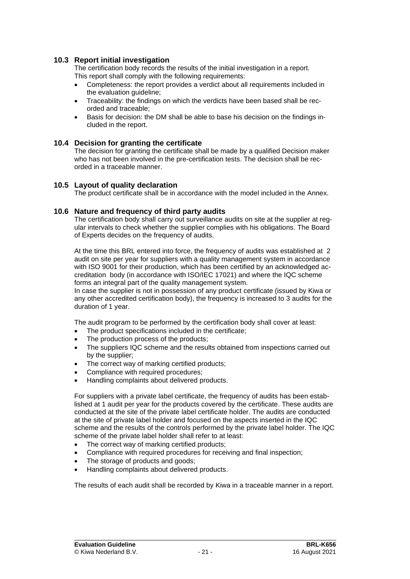#### **10.3 Report initial investigation**

The certification body records the results of the initial investigation in a report. This report shall comply with the following requirements:

- Completeness: the report provides a verdict about all requirements included in the evaluation guideline;
- Traceability: the findings on which the verdicts have been based shall be recorded and traceable;
- Basis for decision: the DM shall be able to base his decision on the findings included in the report.

#### **10.4 Decision for granting the certificate**

The decision for granting the certificate shall be made by a qualified Decision maker who has not been involved in the pre-certification tests. The decision shall be recorded in a traceable manner.

#### **10.5 Layout of quality declaration**

<span id="page-21-0"></span>The product certificate shall be in accordance with the model included in the Annex.

#### **10.6 Nature and frequency of third party audits**

The certification body shall carry out surveillance audits on site at the supplier at regular intervals to check whether the supplier complies with his obligations. The Board of Experts decides on the frequency of audits.

At the time this BRL entered into force, the frequency of audits was established at 2 audit on site per year for suppliers with a quality management system in accordance with ISO 9001 for their production, which has been certified by an acknowledged accreditation body (in accordance with ISO/IEC 17021) and where the IQC scheme forms an integral part of the quality management system.

In case the supplier is not in possession of any product certificate (issued by Kiwa or any other accredited certification body), the frequency is increased to 3 audits for the duration of 1 year.

The audit program to be performed by the certification body shall cover at least:

- The product specifications included in the certificate;
- The production process of the products:
- The suppliers IQC scheme and the results obtained from inspections carried out by the supplier;
- The correct way of marking certified products;
- Compliance with required procedures:
- Handling complaints about delivered products.

For suppliers with a private label certificate, the frequency of audits has been established at 1 audit per year for the products covered by the certificate. These audits are conducted at the site of the private label certificate holder. The audits are conducted at the site of private label holder and focused on the aspects inserted in the IQC scheme and the results of the controls performed by the private label holder. The IQC scheme of the private label holder shall refer to at least:

- The correct way of marking certified products;
- Compliance with required procedures for receiving and final inspection;
- The storage of products and goods;
- Handling complaints about delivered products.

The results of each audit shall be recorded by Kiwa in a traceable manner in a report.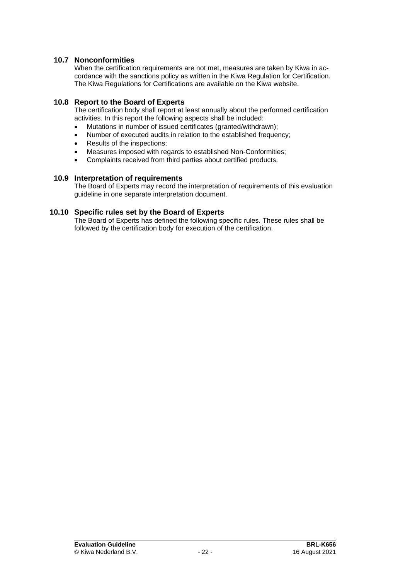#### **10.7 Nonconformities**

When the certification requirements are not met, measures are taken by Kiwa in accordance with the sanctions policy as written in the Kiwa Regulation for Certification. The Kiwa Regulations for Certifications are available on the Kiwa website.

#### **10.8 Report to the Board of Experts**

The certification body shall report at least annually about the performed certification activities. In this report the following aspects shall be included:

- Mutations in number of issued certificates (granted/withdrawn);
- Number of executed audits in relation to the established frequency;
- Results of the inspections;
- Measures imposed with regards to established Non-Conformities;
- Complaints received from third parties about certified products.

#### **10.9 Interpretation of requirements**

The Board of Experts may record the interpretation of requirements of this evaluation guideline in one separate interpretation document.

#### **10.10 Specific rules set by the Board of Experts**

The Board of Experts has defined the following specific rules. These rules shall be followed by the certification body for execution of the certification.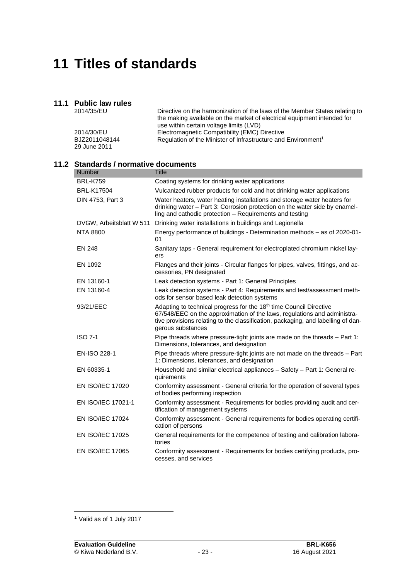## **11 Titles of standards**

### **11.1 Public law rules**

| 2014/35/EU    | Directive on the harmonization of the laws of the Member States relating to |
|---------------|-----------------------------------------------------------------------------|
|               | the making available on the market of electrical equipment intended for     |
|               | use within certain voltage limits (LVD)                                     |
| 2014/30/EU    | Electromagnetic Compatibility (EMC) Directive                               |
| BJZ2011048144 | Regulation of the Minister of Infrastructure and Environment <sup>1</sup>   |
| 29 June 2011  |                                                                             |

#### **11.2 Standards / normative documents**

| <b>Number</b>            | <b>Title</b>                                                                                                                                                                                                                                                        |
|--------------------------|---------------------------------------------------------------------------------------------------------------------------------------------------------------------------------------------------------------------------------------------------------------------|
| <b>BRL-K759</b>          | Coating systems for drinking water applications                                                                                                                                                                                                                     |
| <b>BRL-K17504</b>        | Vulcanized rubber products for cold and hot drinking water applications                                                                                                                                                                                             |
| DIN 4753, Part 3         | Water heaters, water heating installations and storage water heaters for<br>drinking water - Part 3: Corrosion protection on the water side by enamel-<br>ling and cathodic protection - Requirements and testing                                                   |
| DVGW, Arbeitsblatt W 511 | Drinking water installations in buildings and Legionella                                                                                                                                                                                                            |
| <b>NTA 8800</b>          | Energy performance of buildings - Determination methods – as of 2020-01-<br>01                                                                                                                                                                                      |
| <b>EN 248</b>            | Sanitary taps - General requirement for electroplated chromium nickel lay-<br>ers                                                                                                                                                                                   |
| EN 1092                  | Flanges and their joints - Circular flanges for pipes, valves, fittings, and ac-<br>cessories, PN designated                                                                                                                                                        |
| EN 13160-1               | Leak detection systems - Part 1: General Principles                                                                                                                                                                                                                 |
| EN 13160-4               | Leak detection systems - Part 4: Requirements and test/assessment meth-<br>ods for sensor based leak detection systems                                                                                                                                              |
| 93/21/EEC                | Adapting to technical progress for the 18 <sup>th</sup> time Council Directive<br>67/548/EEC on the approximation of the laws, regulations and administra-<br>tive provisions relating to the classification, packaging, and labelling of dan-<br>gerous substances |
| <b>ISO 7-1</b>           | Pipe threads where pressure-tight joints are made on the threads - Part 1:<br>Dimensions, tolerances, and designation                                                                                                                                               |
| <b>EN-ISO 228-1</b>      | Pipe threads where pressure-tight joints are not made on the threads - Part<br>1: Dimensions, tolerances, and designation                                                                                                                                           |
| EN 60335-1               | Household and similar electrical appliances - Safety - Part 1: General re-<br>quirements                                                                                                                                                                            |
| <b>EN ISO/IEC 17020</b>  | Conformity assessment - General criteria for the operation of several types<br>of bodies performing inspection                                                                                                                                                      |
| EN ISO/IEC 17021-1       | Conformity assessment - Requirements for bodies providing audit and cer-<br>tification of management systems                                                                                                                                                        |
| <b>EN ISO/IEC 17024</b>  | Conformity assessment - General requirements for bodies operating certifi-<br>cation of persons                                                                                                                                                                     |
| <b>EN ISO/IEC 17025</b>  | General requirements for the competence of testing and calibration labora-<br>tories                                                                                                                                                                                |
| <b>EN ISO/IEC 17065</b>  | Conformity assessment - Requirements for bodies certifying products, pro-<br>cesses, and services                                                                                                                                                                   |

<sup>1</sup> Valid as of 1 July 2017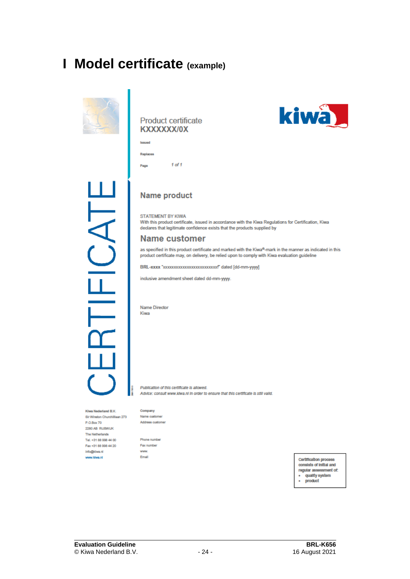## **I Model certificate (example)**



#### Product certificate KXXXXXX/0X



Page





# Ë J<br>J

#### **Name product**

STATEMENT BY KIWA

With this product certificate, issued in accordance with the Kiwa Regulations for Certification, Kiwa declares that legitimate confidence exists that the products supplied by

#### **Name customer**

as specified in this product certificate and marked with the Kiwa®-mark in the manner as indicated in this product certificate may, on delivery, be relied upon to comply with Kiwa evaluation guideline

BRL-xxxx "xxxxxxxxxxxxxxxxxxxxxxxxxxx" dated [dd-mm-yyyy]

inclusive amendment sheet dated dd-mm-yyyy.

Name Director Kiwa

Publication of this certificate is allowed. Advice: consult www.kiwa.nl in order to ensure that this certificate is still valid.

Kiwa Nederland B.V. Sir Winston Churchillaan 273 P.O.Box 70 2280 AB RUSWUK The Netherlands Tel. +31 88 998 44 00 Fax +31 88 998 44 20 info@kiwa.ni www.kiwa.ni

Company Name customer Address customer

Phone number Fax number www Email

Certification process consists of initial and regular assessment of: · quality system product